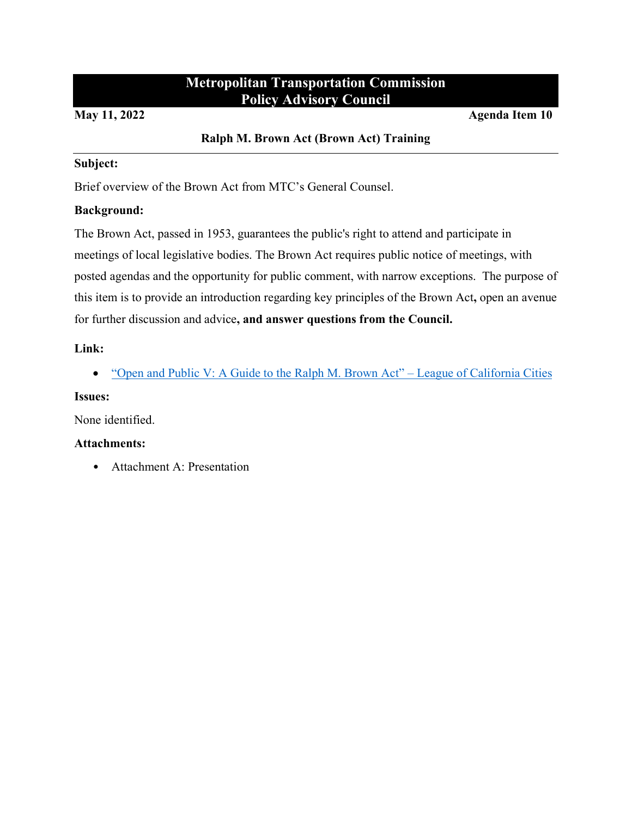#### **Metropolitan Transportation Commission Policy Advisory Council**

#### **May 11, 2022 Agenda Item 10**

#### **Ralph M. Brown Act (Brown Act) Training**

#### **Subject:**

Brief overview of the Brown Act from MTC's General Counsel.

#### **Background:**

The Brown Act, passed in 1953, guarantees the public's right to attend and participate in meetings of local legislative bodies. The Brown Act requires public notice of meetings, with posted agendas and the opportunity for public comment, with narrow exceptions. The purpose of this item is to provide an introduction regarding key principles of the Brown Act**,** open an avenue for further discussion and advice**, and answer questions from the Council.**

#### **Link:**

• ["Open and Public V: A Guide to the Ralph M. Brown Act" –](https://www.calcities.org/resource/open-public-v-a-guide-to-the-ralph-m.-brown-act) League of California Cities

#### **Issues:**

None identified.

#### **Attachments:**

• Attachment A: Presentation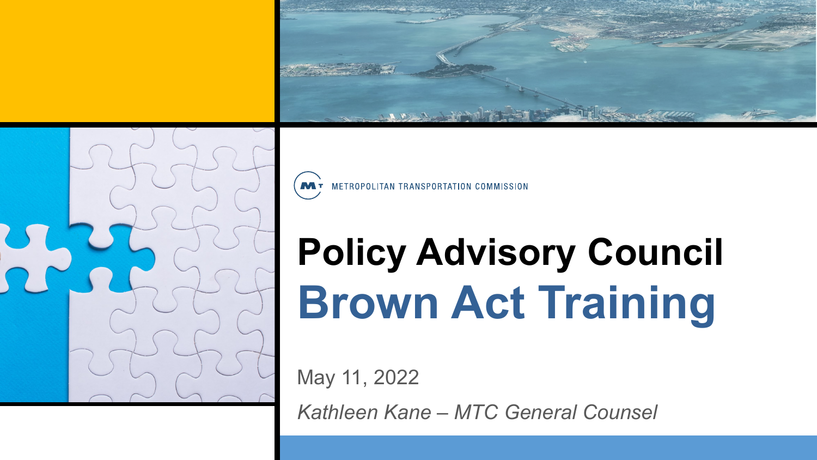



MT METROPOLITAN TRANSPORTATION COMMISSION

## **Policy Advisory Council Brown Act Training**

May 11, 2022

*Kathleen Kane – MTC General Counsel*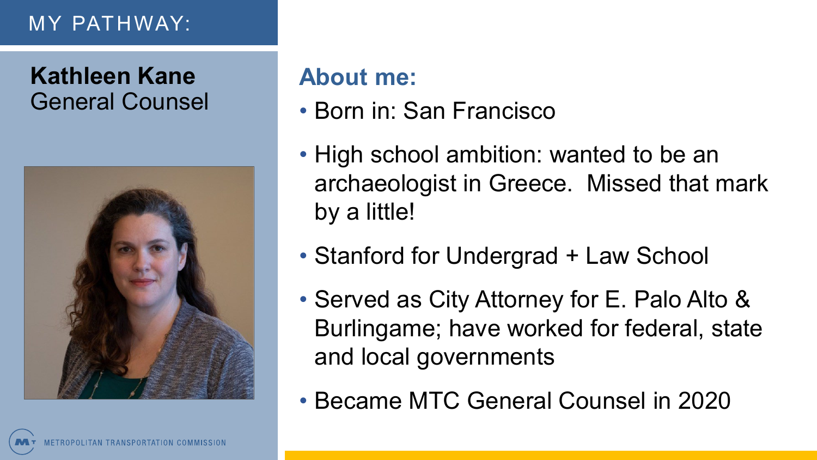### MY PATHWAY:

## **Kathleen Kane** General Counsel



### **About me:**

- Born in: San Francisco
- High school ambition: wanted to be an archaeologist in Greece. Missed that mark by a little!
- Stanford for Undergrad + Law School
- Served as City Attorney for E. Palo Alto & Burlingame; have worked for federal, state and local governments
- Became MTC General Counsel in 2020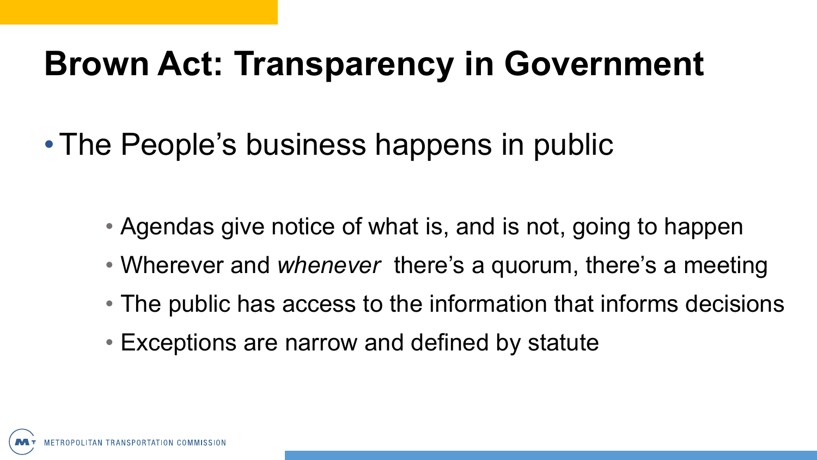## **Brown Act: Transparency in Government**

•The People's business happens in public

- Agendas give notice of what is, and is not, going to happen
- Wherever and *whenever* there's a quorum, there's a meeting
- The public has access to the information that informs decisions
- Exceptions are narrow and defined by statute